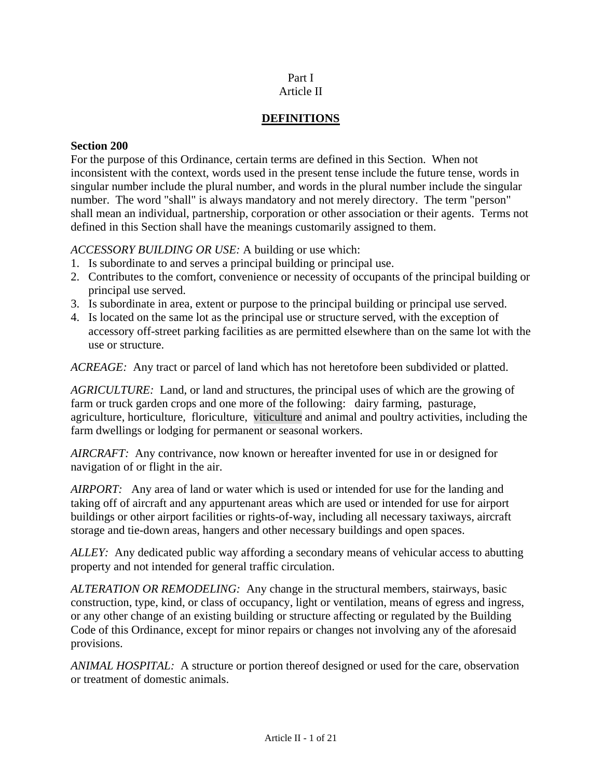## Part I Article II

## **DEFINITIONS**

## **Section 200**

For the purpose of this Ordinance, certain terms are defined in this Section. When not inconsistent with the context, words used in the present tense include the future tense, words in singular number include the plural number, and words in the plural number include the singular number. The word "shall" is always mandatory and not merely directory. The term "person" shall mean an individual, partnership, corporation or other association or their agents. Terms not defined in this Section shall have the meanings customarily assigned to them.

## *ACCESSORY BUILDING OR USE:* A building or use which:

- 1. Is subordinate to and serves a principal building or principal use.
- 2. Contributes to the comfort, convenience or necessity of occupants of the principal building or principal use served.
- 3. Is subordinate in area, extent or purpose to the principal building or principal use served.
- 4. Is located on the same lot as the principal use or structure served, with the exception of accessory off-street parking facilities as are permitted elsewhere than on the same lot with the use or structure.

*ACREAGE:* Any tract or parcel of land which has not heretofore been subdivided or platted.

*AGRICULTURE:* Land, or land and structures, the principal uses of which are the growing of farm or truck garden crops and one more of the following: dairy farming, pasturage, agriculture, horticulture, floriculture, viticulture and animal and poultry activities, including the farm dwellings or lodging for permanent or seasonal workers.

*AIRCRAFT:* Any contrivance, now known or hereafter invented for use in or designed for navigation of or flight in the air.

*AIRPORT:* Any area of land or water which is used or intended for use for the landing and taking off of aircraft and any appurtenant areas which are used or intended for use for airport buildings or other airport facilities or rights-of-way, including all necessary taxiways, aircraft storage and tie-down areas, hangers and other necessary buildings and open spaces.

*ALLEY:* Any dedicated public way affording a secondary means of vehicular access to abutting property and not intended for general traffic circulation.

*ALTERATION OR REMODELING:* Any change in the structural members, stairways, basic construction, type, kind, or class of occupancy, light or ventilation, means of egress and ingress, or any other change of an existing building or structure affecting or regulated by the Building Code of this Ordinance, except for minor repairs or changes not involving any of the aforesaid provisions.

*ANIMAL HOSPITAL:* A structure or portion thereof designed or used for the care, observation or treatment of domestic animals.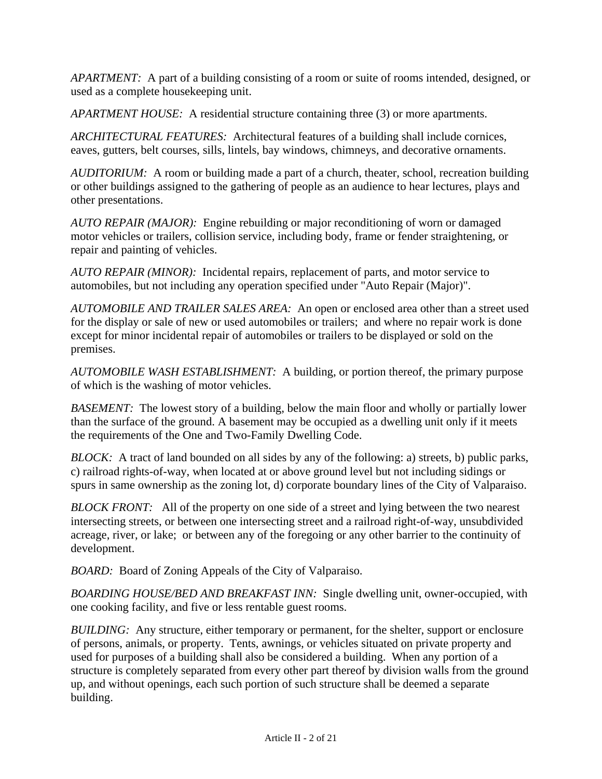*APARTMENT:* A part of a building consisting of a room or suite of rooms intended, designed, or used as a complete housekeeping unit.

*APARTMENT HOUSE:* A residential structure containing three (3) or more apartments.

*ARCHITECTURAL FEATURES:* Architectural features of a building shall include cornices, eaves, gutters, belt courses, sills, lintels, bay windows, chimneys, and decorative ornaments.

*AUDITORIUM:* A room or building made a part of a church, theater, school, recreation building or other buildings assigned to the gathering of people as an audience to hear lectures, plays and other presentations.

*AUTO REPAIR (MAJOR):* Engine rebuilding or major reconditioning of worn or damaged motor vehicles or trailers, collision service, including body, frame or fender straightening, or repair and painting of vehicles.

*AUTO REPAIR (MINOR):* Incidental repairs, replacement of parts, and motor service to automobiles, but not including any operation specified under "Auto Repair (Major)".

*AUTOMOBILE AND TRAILER SALES AREA:* An open or enclosed area other than a street used for the display or sale of new or used automobiles or trailers; and where no repair work is done except for minor incidental repair of automobiles or trailers to be displayed or sold on the premises.

*AUTOMOBILE WASH ESTABLISHMENT:* A building, or portion thereof, the primary purpose of which is the washing of motor vehicles.

*BASEMENT:* The lowest story of a building, below the main floor and wholly or partially lower than the surface of the ground. A basement may be occupied as a dwelling unit only if it meets the requirements of the One and Two-Family Dwelling Code.

*BLOCK:* A tract of land bounded on all sides by any of the following: a) streets, b) public parks, c) railroad rights-of-way, when located at or above ground level but not including sidings or spurs in same ownership as the zoning lot, d) corporate boundary lines of the City of Valparaiso.

*BLOCK FRONT:* All of the property on one side of a street and lying between the two nearest intersecting streets, or between one intersecting street and a railroad right-of-way, unsubdivided acreage, river, or lake; or between any of the foregoing or any other barrier to the continuity of development.

*BOARD:* Board of Zoning Appeals of the City of Valparaiso.

*BOARDING HOUSE/BED AND BREAKFAST INN:* Single dwelling unit, owner-occupied, with one cooking facility, and five or less rentable guest rooms.

*BUILDING:* Any structure, either temporary or permanent, for the shelter, support or enclosure of persons, animals, or property. Tents, awnings, or vehicles situated on private property and used for purposes of a building shall also be considered a building. When any portion of a structure is completely separated from every other part thereof by division walls from the ground up, and without openings, each such portion of such structure shall be deemed a separate building.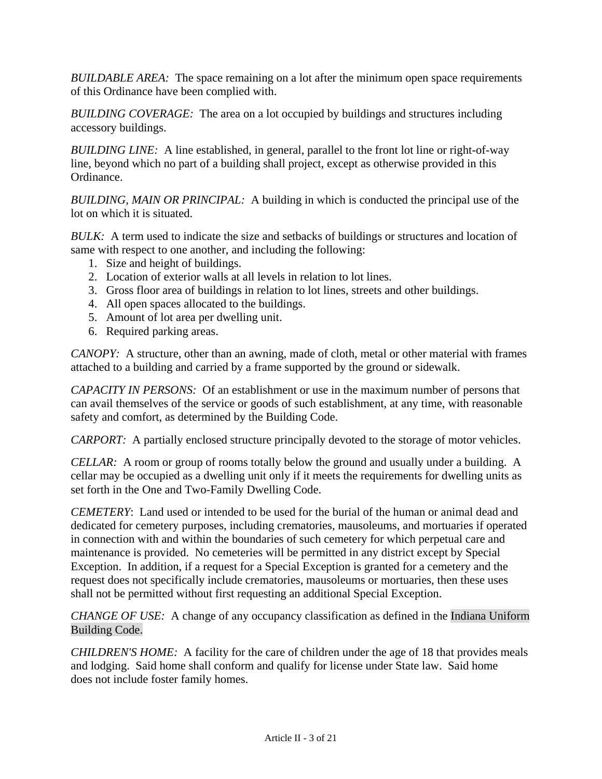*BUILDABLE AREA:* The space remaining on a lot after the minimum open space requirements of this Ordinance have been complied with.

*BUILDING COVERAGE:* The area on a lot occupied by buildings and structures including accessory buildings.

*BUILDING LINE:* A line established, in general, parallel to the front lot line or right-of-way line, beyond which no part of a building shall project, except as otherwise provided in this Ordinance.

*BUILDING, MAIN OR PRINCIPAL:* A building in which is conducted the principal use of the lot on which it is situated.

*BULK:* A term used to indicate the size and setbacks of buildings or structures and location of same with respect to one another, and including the following:

- 1. Size and height of buildings.
- 2. Location of exterior walls at all levels in relation to lot lines.
- 3. Gross floor area of buildings in relation to lot lines, streets and other buildings.
- 4. All open spaces allocated to the buildings.
- 5. Amount of lot area per dwelling unit.
- 6. Required parking areas.

*CANOPY:* A structure, other than an awning, made of cloth, metal or other material with frames attached to a building and carried by a frame supported by the ground or sidewalk.

*CAPACITY IN PERSONS:* Of an establishment or use in the maximum number of persons that can avail themselves of the service or goods of such establishment, at any time, with reasonable safety and comfort, as determined by the Building Code.

*CARPORT:* A partially enclosed structure principally devoted to the storage of motor vehicles.

*CELLAR:* A room or group of rooms totally below the ground and usually under a building. A cellar may be occupied as a dwelling unit only if it meets the requirements for dwelling units as set forth in the One and Two-Family Dwelling Code.

*CEMETERY*: Land used or intended to be used for the burial of the human or animal dead and dedicated for cemetery purposes, including crematories, mausoleums, and mortuaries if operated in connection with and within the boundaries of such cemetery for which perpetual care and maintenance is provided. No cemeteries will be permitted in any district except by Special Exception. In addition, if a request for a Special Exception is granted for a cemetery and the request does not specifically include crematories, mausoleums or mortuaries, then these uses shall not be permitted without first requesting an additional Special Exception.

*CHANGE OF USE:* A change of any occupancy classification as defined in the Indiana Uniform Building Code.

*CHILDREN'S HOME:* A facility for the care of children under the age of 18 that provides meals and lodging. Said home shall conform and qualify for license under State law. Said home does not include foster family homes.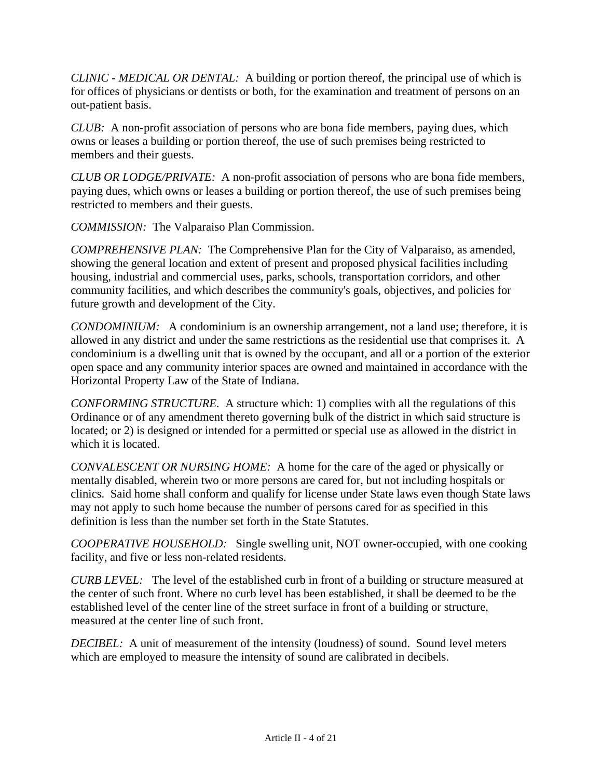*CLINIC - MEDICAL OR DENTAL:* A building or portion thereof, the principal use of which is for offices of physicians or dentists or both, for the examination and treatment of persons on an out-patient basis.

*CLUB:* A non-profit association of persons who are bona fide members, paying dues, which owns or leases a building or portion thereof, the use of such premises being restricted to members and their guests.

*CLUB OR LODGE/PRIVATE:* A non-profit association of persons who are bona fide members, paying dues, which owns or leases a building or portion thereof, the use of such premises being restricted to members and their guests.

*COMMISSION:* The Valparaiso Plan Commission.

*COMPREHENSIVE PLAN:* The Comprehensive Plan for the City of Valparaiso, as amended, showing the general location and extent of present and proposed physical facilities including housing, industrial and commercial uses, parks, schools, transportation corridors, and other community facilities, and which describes the community's goals, objectives, and policies for future growth and development of the City.

*CONDOMINIUM:* A condominium is an ownership arrangement, not a land use; therefore, it is allowed in any district and under the same restrictions as the residential use that comprises it. A condominium is a dwelling unit that is owned by the occupant, and all or a portion of the exterior open space and any community interior spaces are owned and maintained in accordance with the Horizontal Property Law of the State of Indiana.

*CONFORMING STRUCTURE.* A structure which: 1) complies with all the regulations of this Ordinance or of any amendment thereto governing bulk of the district in which said structure is located; or 2) is designed or intended for a permitted or special use as allowed in the district in which it is located.

*CONVALESCENT OR NURSING HOME:* A home for the care of the aged or physically or mentally disabled, wherein two or more persons are cared for, but not including hospitals or clinics. Said home shall conform and qualify for license under State laws even though State laws may not apply to such home because the number of persons cared for as specified in this definition is less than the number set forth in the State Statutes.

*COOPERATIVE HOUSEHOLD:* Single swelling unit, NOT owner-occupied, with one cooking facility, and five or less non-related residents.

*CURB LEVEL:* The level of the established curb in front of a building or structure measured at the center of such front. Where no curb level has been established, it shall be deemed to be the established level of the center line of the street surface in front of a building or structure, measured at the center line of such front.

*DECIBEL:* A unit of measurement of the intensity (loudness) of sound. Sound level meters which are employed to measure the intensity of sound are calibrated in decibels.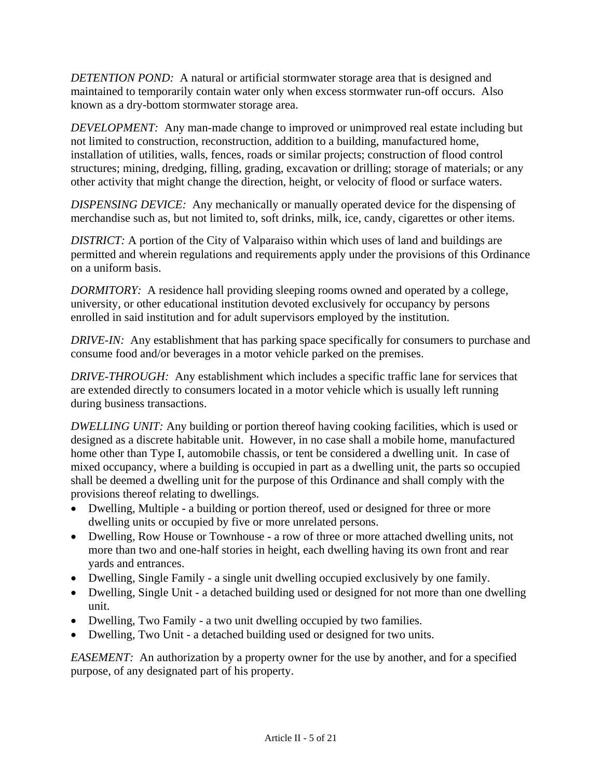*DETENTION POND:* A natural or artificial stormwater storage area that is designed and maintained to temporarily contain water only when excess stormwater run-off occurs. Also known as a dry-bottom stormwater storage area.

*DEVELOPMENT:* Any man-made change to improved or unimproved real estate including but not limited to construction, reconstruction, addition to a building, manufactured home, installation of utilities, walls, fences, roads or similar projects; construction of flood control structures; mining, dredging, filling, grading, excavation or drilling; storage of materials; or any other activity that might change the direction, height, or velocity of flood or surface waters.

*DISPENSING DEVICE:* Any mechanically or manually operated device for the dispensing of merchandise such as, but not limited to, soft drinks, milk, ice, candy, cigarettes or other items.

*DISTRICT:* A portion of the City of Valparaiso within which uses of land and buildings are permitted and wherein regulations and requirements apply under the provisions of this Ordinance on a uniform basis.

*DORMITORY:* A residence hall providing sleeping rooms owned and operated by a college, university, or other educational institution devoted exclusively for occupancy by persons enrolled in said institution and for adult supervisors employed by the institution.

*DRIVE-IN:* Any establishment that has parking space specifically for consumers to purchase and consume food and/or beverages in a motor vehicle parked on the premises.

*DRIVE-THROUGH:* Any establishment which includes a specific traffic lane for services that are extended directly to consumers located in a motor vehicle which is usually left running during business transactions.

*DWELLING UNIT:* Any building or portion thereof having cooking facilities, which is used or designed as a discrete habitable unit. However, in no case shall a mobile home, manufactured home other than Type I, automobile chassis, or tent be considered a dwelling unit. In case of mixed occupancy, where a building is occupied in part as a dwelling unit, the parts so occupied shall be deemed a dwelling unit for the purpose of this Ordinance and shall comply with the provisions thereof relating to dwellings.

- Dwelling, Multiple a building or portion thereof, used or designed for three or more dwelling units or occupied by five or more unrelated persons.
- Dwelling, Row House or Townhouse a row of three or more attached dwelling units, not more than two and one-half stories in height, each dwelling having its own front and rear yards and entrances.
- Dwelling, Single Family a single unit dwelling occupied exclusively by one family.
- Dwelling, Single Unit a detached building used or designed for not more than one dwelling unit.
- Dwelling, Two Family a two unit dwelling occupied by two families.
- Dwelling, Two Unit a detached building used or designed for two units.

*EASEMENT:* An authorization by a property owner for the use by another, and for a specified purpose, of any designated part of his property.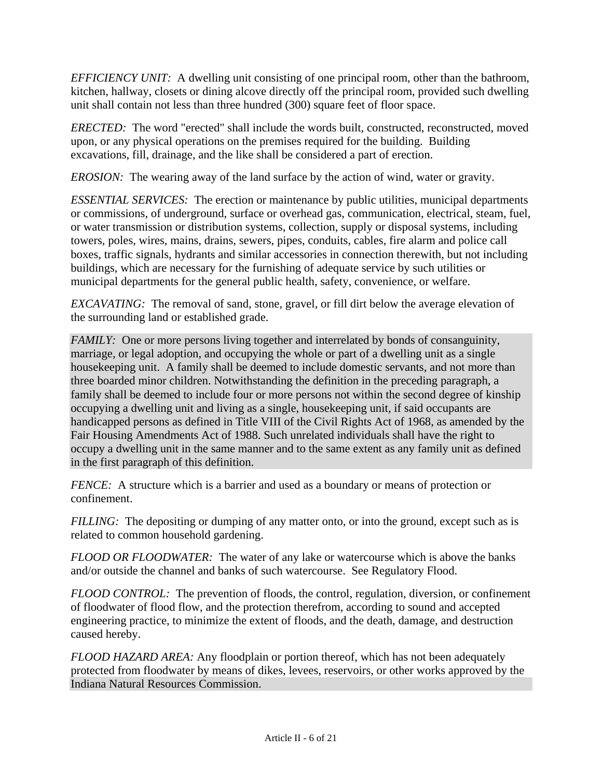*EFFICIENCY UNIT:* A dwelling unit consisting of one principal room, other than the bathroom, kitchen, hallway, closets or dining alcove directly off the principal room, provided such dwelling unit shall contain not less than three hundred (300) square feet of floor space.

*ERECTED:* The word "erected" shall include the words built, constructed, reconstructed, moved upon, or any physical operations on the premises required for the building. Building excavations, fill, drainage, and the like shall be considered a part of erection.

*EROSION:* The wearing away of the land surface by the action of wind, water or gravity.

*ESSENTIAL SERVICES:* The erection or maintenance by public utilities, municipal departments or commissions, of underground, surface or overhead gas, communication, electrical, steam, fuel, or water transmission or distribution systems, collection, supply or disposal systems, including towers, poles, wires, mains, drains, sewers, pipes, conduits, cables, fire alarm and police call boxes, traffic signals, hydrants and similar accessories in connection therewith, but not including buildings, which are necessary for the furnishing of adequate service by such utilities or municipal departments for the general public health, safety, convenience, or welfare.

*EXCAVATING:* The removal of sand, stone, gravel, or fill dirt below the average elevation of the surrounding land or established grade.

*FAMILY:* One or more persons living together and interrelated by bonds of consanguinity, marriage, or legal adoption, and occupying the whole or part of a dwelling unit as a single housekeeping unit. A family shall be deemed to include domestic servants, and not more than three boarded minor children. Notwithstanding the definition in the preceding paragraph, a family shall be deemed to include four or more persons not within the second degree of kinship occupying a dwelling unit and living as a single, housekeeping unit, if said occupants are handicapped persons as defined in Title VIII of the Civil Rights Act of 1968, as amended by the Fair Housing Amendments Act of 1988. Such unrelated individuals shall have the right to occupy a dwelling unit in the same manner and to the same extent as any family unit as defined in the first paragraph of this definition.

*FENCE:* A structure which is a barrier and used as a boundary or means of protection or confinement.

*FILLING*: The depositing or dumping of any matter onto, or into the ground, except such as is related to common household gardening.

*FLOOD OR FLOODWATER:* The water of any lake or watercourse which is above the banks and/or outside the channel and banks of such watercourse. See Regulatory Flood.

*FLOOD CONTROL:* The prevention of floods, the control, regulation, diversion, or confinement of floodwater of flood flow, and the protection therefrom, according to sound and accepted engineering practice, to minimize the extent of floods, and the death, damage, and destruction caused hereby.

*FLOOD HAZARD AREA:* Any floodplain or portion thereof, which has not been adequately protected from floodwater by means of dikes, levees, reservoirs, or other works approved by the Indiana Natural Resources Commission.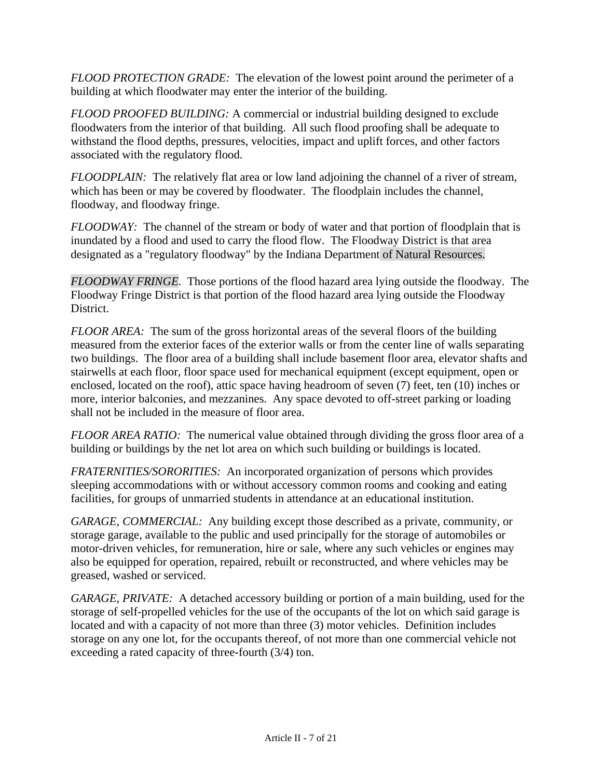*FLOOD PROTECTION GRADE:* The elevation of the lowest point around the perimeter of a building at which floodwater may enter the interior of the building.

*FLOOD PROOFED BUILDING:* A commercial or industrial building designed to exclude floodwaters from the interior of that building. All such flood proofing shall be adequate to withstand the flood depths, pressures, velocities, impact and uplift forces, and other factors associated with the regulatory flood.

*FLOODPLAIN:* The relatively flat area or low land adjoining the channel of a river of stream, which has been or may be covered by floodwater. The floodplain includes the channel, floodway, and floodway fringe.

*FLOODWAY:* The channel of the stream or body of water and that portion of floodplain that is inundated by a flood and used to carry the flood flow. The Floodway District is that area designated as a "regulatory floodway" by the Indiana Department of Natural Resources.

*FLOODWAY FRINGE*. Those portions of the flood hazard area lying outside the floodway. The Floodway Fringe District is that portion of the flood hazard area lying outside the Floodway District.

*FLOOR AREA:* The sum of the gross horizontal areas of the several floors of the building measured from the exterior faces of the exterior walls or from the center line of walls separating two buildings. The floor area of a building shall include basement floor area, elevator shafts and stairwells at each floor, floor space used for mechanical equipment (except equipment, open or enclosed, located on the roof), attic space having headroom of seven (7) feet, ten (10) inches or more, interior balconies, and mezzanines. Any space devoted to off-street parking or loading shall not be included in the measure of floor area.

*FLOOR AREA RATIO:* The numerical value obtained through dividing the gross floor area of a building or buildings by the net lot area on which such building or buildings is located.

*FRATERNITIES/SORORITIES:* An incorporated organization of persons which provides sleeping accommodations with or without accessory common rooms and cooking and eating facilities, for groups of unmarried students in attendance at an educational institution.

*GARAGE, COMMERCIAL:* Any building except those described as a private, community, or storage garage, available to the public and used principally for the storage of automobiles or motor-driven vehicles, for remuneration, hire or sale, where any such vehicles or engines may also be equipped for operation, repaired, rebuilt or reconstructed, and where vehicles may be greased, washed or serviced.

*GARAGE, PRIVATE:* A detached accessory building or portion of a main building, used for the storage of self-propelled vehicles for the use of the occupants of the lot on which said garage is located and with a capacity of not more than three (3) motor vehicles. Definition includes storage on any one lot, for the occupants thereof, of not more than one commercial vehicle not exceeding a rated capacity of three-fourth (3/4) ton.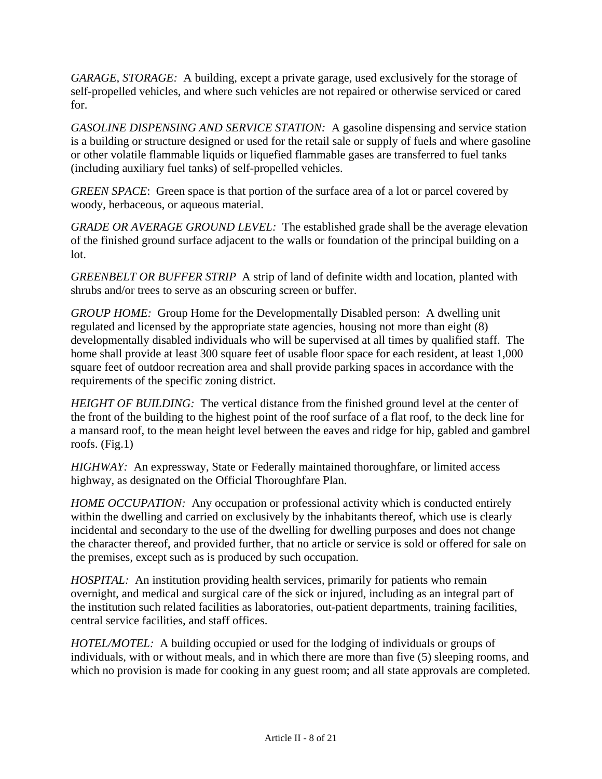*GARAGE, STORAGE:* A building, except a private garage, used exclusively for the storage of self-propelled vehicles, and where such vehicles are not repaired or otherwise serviced or cared for.

*GASOLINE DISPENSING AND SERVICE STATION:* A gasoline dispensing and service station is a building or structure designed or used for the retail sale or supply of fuels and where gasoline or other volatile flammable liquids or liquefied flammable gases are transferred to fuel tanks (including auxiliary fuel tanks) of self-propelled vehicles.

*GREEN SPACE*: Green space is that portion of the surface area of a lot or parcel covered by woody, herbaceous, or aqueous material.

*GRADE OR AVERAGE GROUND LEVEL:* The established grade shall be the average elevation of the finished ground surface adjacent to the walls or foundation of the principal building on a lot.

*GREENBELT OR BUFFER STRIP* A strip of land of definite width and location, planted with shrubs and/or trees to serve as an obscuring screen or buffer.

*GROUP HOME:* Group Home for the Developmentally Disabled person: A dwelling unit regulated and licensed by the appropriate state agencies, housing not more than eight (8) developmentally disabled individuals who will be supervised at all times by qualified staff. The home shall provide at least 300 square feet of usable floor space for each resident, at least 1,000 square feet of outdoor recreation area and shall provide parking spaces in accordance with the requirements of the specific zoning district.

*HEIGHT OF BUILDING:* The vertical distance from the finished ground level at the center of the front of the building to the highest point of the roof surface of a flat roof, to the deck line for a mansard roof, to the mean height level between the eaves and ridge for hip, gabled and gambrel roofs. (Fig.1)

*HIGHWAY:* An expressway, State or Federally maintained thoroughfare, or limited access highway, as designated on the Official Thoroughfare Plan.

*HOME OCCUPATION:* Any occupation or professional activity which is conducted entirely within the dwelling and carried on exclusively by the inhabitants thereof, which use is clearly incidental and secondary to the use of the dwelling for dwelling purposes and does not change the character thereof, and provided further, that no article or service is sold or offered for sale on the premises, except such as is produced by such occupation.

*HOSPITAL*: An institution providing health services, primarily for patients who remain overnight, and medical and surgical care of the sick or injured, including as an integral part of the institution such related facilities as laboratories, out-patient departments, training facilities, central service facilities, and staff offices.

*HOTEL/MOTEL:* A building occupied or used for the lodging of individuals or groups of individuals, with or without meals, and in which there are more than five (5) sleeping rooms, and which no provision is made for cooking in any guest room; and all state approvals are completed.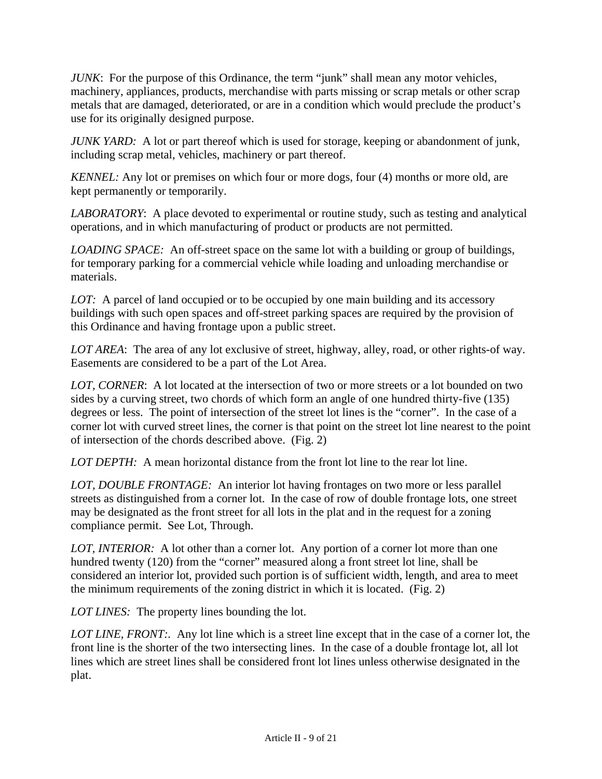*JUNK*: For the purpose of this Ordinance, the term "junk" shall mean any motor vehicles, machinery, appliances, products, merchandise with parts missing or scrap metals or other scrap metals that are damaged, deteriorated, or are in a condition which would preclude the product's use for its originally designed purpose.

*JUNK YARD:* A lot or part thereof which is used for storage, keeping or abandonment of junk, including scrap metal, vehicles, machinery or part thereof.

*KENNEL*: Any lot or premises on which four or more dogs, four (4) months or more old, are kept permanently or temporarily.

*LABORATORY*: A place devoted to experimental or routine study, such as testing and analytical operations, and in which manufacturing of product or products are not permitted.

*LOADING SPACE:* An off-street space on the same lot with a building or group of buildings, for temporary parking for a commercial vehicle while loading and unloading merchandise or materials.

*LOT:* A parcel of land occupied or to be occupied by one main building and its accessory buildings with such open spaces and off-street parking spaces are required by the provision of this Ordinance and having frontage upon a public street.

*LOT AREA*: The area of any lot exclusive of street, highway, alley, road, or other rights-of way. Easements are considered to be a part of the Lot Area.

*LOT, CORNER*: A lot located at the intersection of two or more streets or a lot bounded on two sides by a curving street, two chords of which form an angle of one hundred thirty-five (135) degrees or less. The point of intersection of the street lot lines is the "corner". In the case of a corner lot with curved street lines, the corner is that point on the street lot line nearest to the point of intersection of the chords described above. (Fig. 2)

*LOT DEPTH:* A mean horizontal distance from the front lot line to the rear lot line.

*LOT, DOUBLE FRONTAGE:* An interior lot having frontages on two more or less parallel streets as distinguished from a corner lot. In the case of row of double frontage lots, one street may be designated as the front street for all lots in the plat and in the request for a zoning compliance permit. See Lot, Through.

*LOT, INTERIOR:* A lot other than a corner lot. Any portion of a corner lot more than one hundred twenty (120) from the "corner" measured along a front street lot line, shall be considered an interior lot, provided such portion is of sufficient width, length, and area to meet the minimum requirements of the zoning district in which it is located. (Fig. 2)

*LOT LINES:* The property lines bounding the lot.

*LOT LINE, FRONT:.* Any lot line which is a street line except that in the case of a corner lot, the front line is the shorter of the two intersecting lines. In the case of a double frontage lot, all lot lines which are street lines shall be considered front lot lines unless otherwise designated in the plat.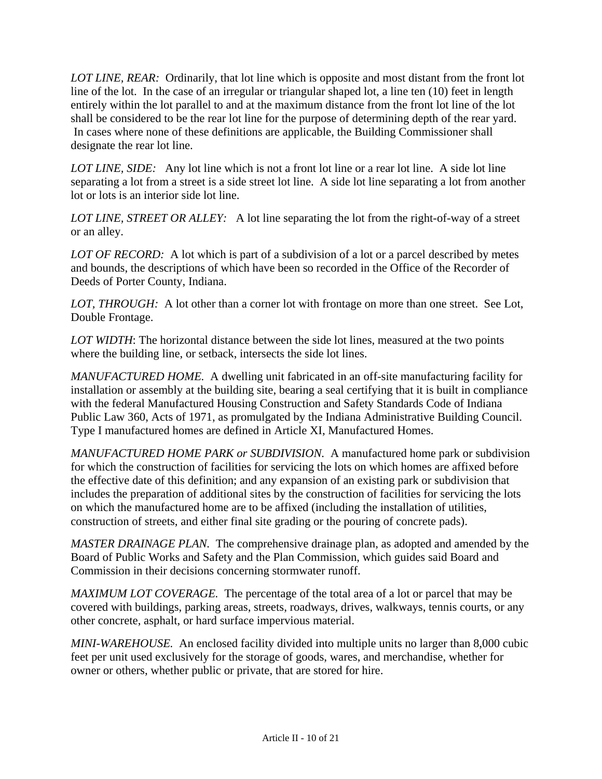*LOT LINE, REAR:* Ordinarily, that lot line which is opposite and most distant from the front lot line of the lot. In the case of an irregular or triangular shaped lot, a line ten (10) feet in length entirely within the lot parallel to and at the maximum distance from the front lot line of the lot shall be considered to be the rear lot line for the purpose of determining depth of the rear yard. In cases where none of these definitions are applicable, the Building Commissioner shall designate the rear lot line.

*LOT LINE, SIDE:* Any lot line which is not a front lot line or a rear lot line. A side lot line separating a lot from a street is a side street lot line. A side lot line separating a lot from another lot or lots is an interior side lot line.

*LOT LINE, STREET OR ALLEY:* A lot line separating the lot from the right-of-way of a street or an alley.

*LOT OF RECORD:* A lot which is part of a subdivision of a lot or a parcel described by metes and bounds, the descriptions of which have been so recorded in the Office of the Recorder of Deeds of Porter County, Indiana.

*LOT, THROUGH:* A lot other than a corner lot with frontage on more than one street. See Lot, Double Frontage.

*LOT WIDTH*: The horizontal distance between the side lot lines, measured at the two points where the building line, or setback, intersects the side lot lines.

*MANUFACTURED HOME.* A dwelling unit fabricated in an off-site manufacturing facility for installation or assembly at the building site, bearing a seal certifying that it is built in compliance with the federal Manufactured Housing Construction and Safety Standards Code of Indiana Public Law 360, Acts of 1971, as promulgated by the Indiana Administrative Building Council. Type I manufactured homes are defined in Article XI, Manufactured Homes.

*MANUFACTURED HOME PARK or SUBDIVISION.* A manufactured home park or subdivision for which the construction of facilities for servicing the lots on which homes are affixed before the effective date of this definition; and any expansion of an existing park or subdivision that includes the preparation of additional sites by the construction of facilities for servicing the lots on which the manufactured home are to be affixed (including the installation of utilities, construction of streets, and either final site grading or the pouring of concrete pads).

*MASTER DRAINAGE PLAN.* The comprehensive drainage plan, as adopted and amended by the Board of Public Works and Safety and the Plan Commission, which guides said Board and Commission in their decisions concerning stormwater runoff.

*MAXIMUM LOT COVERAGE.* The percentage of the total area of a lot or parcel that may be covered with buildings, parking areas, streets, roadways, drives, walkways, tennis courts, or any other concrete, asphalt, or hard surface impervious material.

*MINI-WAREHOUSE.* An enclosed facility divided into multiple units no larger than 8,000 cubic feet per unit used exclusively for the storage of goods, wares, and merchandise, whether for owner or others, whether public or private, that are stored for hire.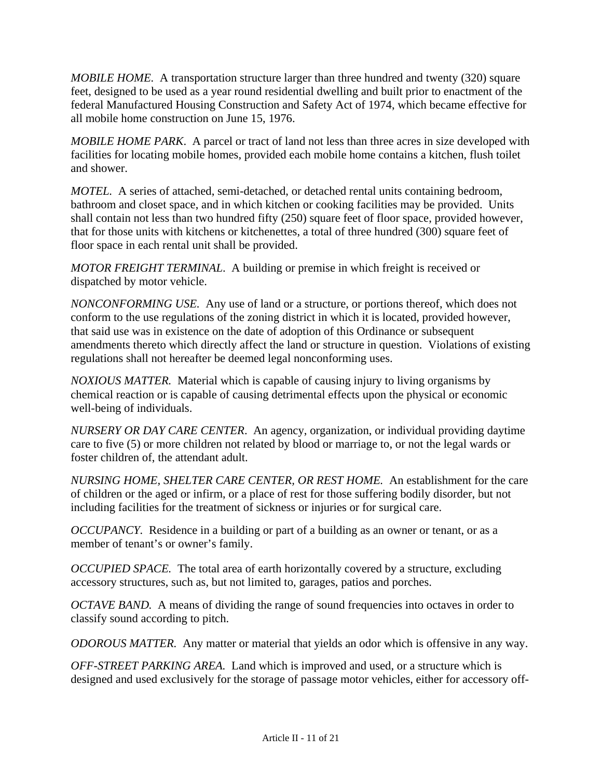*MOBILE HOME.* A transportation structure larger than three hundred and twenty (320) square feet, designed to be used as a year round residential dwelling and built prior to enactment of the federal Manufactured Housing Construction and Safety Act of 1974, which became effective for all mobile home construction on June 15, 1976.

*MOBILE HOME PARK*. A parcel or tract of land not less than three acres in size developed with facilities for locating mobile homes, provided each mobile home contains a kitchen, flush toilet and shower.

*MOTEL.* A series of attached, semi-detached, or detached rental units containing bedroom, bathroom and closet space, and in which kitchen or cooking facilities may be provided. Units shall contain not less than two hundred fifty (250) square feet of floor space, provided however, that for those units with kitchens or kitchenettes, a total of three hundred (300) square feet of floor space in each rental unit shall be provided.

*MOTOR FREIGHT TERMINAL*. A building or premise in which freight is received or dispatched by motor vehicle.

*NONCONFORMING USE.* Any use of land or a structure, or portions thereof, which does not conform to the use regulations of the zoning district in which it is located, provided however, that said use was in existence on the date of adoption of this Ordinance or subsequent amendments thereto which directly affect the land or structure in question. Violations of existing regulations shall not hereafter be deemed legal nonconforming uses.

*NOXIOUS MATTER.* Material which is capable of causing injury to living organisms by chemical reaction or is capable of causing detrimental effects upon the physical or economic well-being of individuals.

*NURSERY OR DAY CARE CENTER*. An agency, organization, or individual providing daytime care to five (5) or more children not related by blood or marriage to, or not the legal wards or foster children of, the attendant adult.

*NURSING HOME, SHELTER CARE CENTER, OR REST HOME.* An establishment for the care of children or the aged or infirm, or a place of rest for those suffering bodily disorder, but not including facilities for the treatment of sickness or injuries or for surgical care.

*OCCUPANCY*. Residence in a building or part of a building as an owner or tenant, or as a member of tenant's or owner's family.

*OCCUPIED SPACE.* The total area of earth horizontally covered by a structure, excluding accessory structures, such as, but not limited to, garages, patios and porches.

*OCTAVE BAND.* A means of dividing the range of sound frequencies into octaves in order to classify sound according to pitch.

*ODOROUS MATTER.* Any matter or material that yields an odor which is offensive in any way.

*OFF-STREET PARKING AREA.* Land which is improved and used, or a structure which is designed and used exclusively for the storage of passage motor vehicles, either for accessory off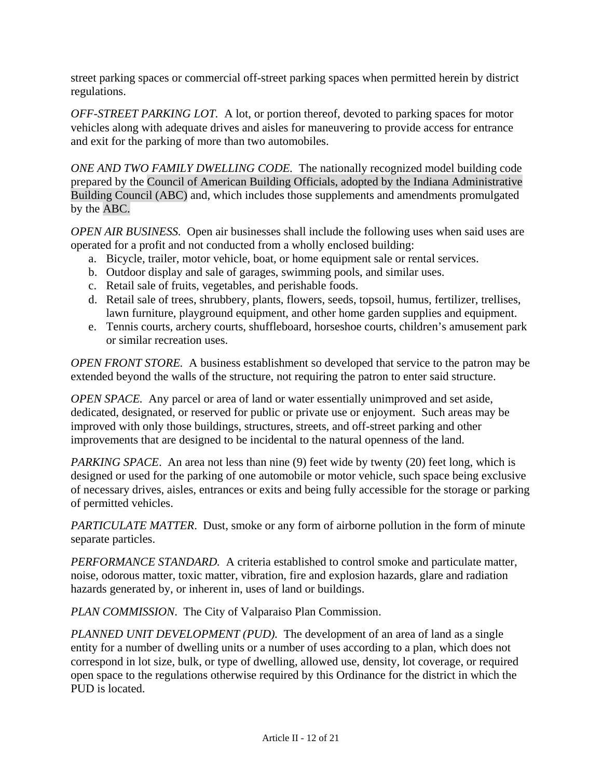street parking spaces or commercial off-street parking spaces when permitted herein by district regulations.

*OFF-STREET PARKING LOT.* A lot, or portion thereof, devoted to parking spaces for motor vehicles along with adequate drives and aisles for maneuvering to provide access for entrance and exit for the parking of more than two automobiles.

*ONE AND TWO FAMILY DWELLING CODE.* The nationally recognized model building code prepared by the Council of American Building Officials, adopted by the Indiana Administrative Building Council (ABC) and, which includes those supplements and amendments promulgated by the ABC.

*OPEN AIR BUSINESS.* Open air businesses shall include the following uses when said uses are operated for a profit and not conducted from a wholly enclosed building:

- a. Bicycle, trailer, motor vehicle, boat, or home equipment sale or rental services.
- b. Outdoor display and sale of garages, swimming pools, and similar uses.
- c. Retail sale of fruits, vegetables, and perishable foods.
- d. Retail sale of trees, shrubbery, plants, flowers, seeds, topsoil, humus, fertilizer, trellises, lawn furniture, playground equipment, and other home garden supplies and equipment.
- e. Tennis courts, archery courts, shuffleboard, horseshoe courts, children's amusement park or similar recreation uses.

*OPEN FRONT STORE.* A business establishment so developed that service to the patron may be extended beyond the walls of the structure, not requiring the patron to enter said structure.

*OPEN SPACE.* Any parcel or area of land or water essentially unimproved and set aside, dedicated, designated, or reserved for public or private use or enjoyment. Such areas may be improved with only those buildings, structures, streets, and off-street parking and other improvements that are designed to be incidental to the natural openness of the land.

*PARKING SPACE*. An area not less than nine (9) feet wide by twenty (20) feet long, which is designed or used for the parking of one automobile or motor vehicle, such space being exclusive of necessary drives, aisles, entrances or exits and being fully accessible for the storage or parking of permitted vehicles.

*PARTICULATE MATTER*. Dust, smoke or any form of airborne pollution in the form of minute separate particles.

*PERFORMANCE STANDARD.* A criteria established to control smoke and particulate matter, noise, odorous matter, toxic matter, vibration, fire and explosion hazards, glare and radiation hazards generated by, or inherent in, uses of land or buildings.

*PLAN COMMISSION*. The City of Valparaiso Plan Commission.

*PLANNED UNIT DEVELOPMENT (PUD).* The development of an area of land as a single entity for a number of dwelling units or a number of uses according to a plan, which does not correspond in lot size, bulk, or type of dwelling, allowed use, density, lot coverage, or required open space to the regulations otherwise required by this Ordinance for the district in which the PUD is located.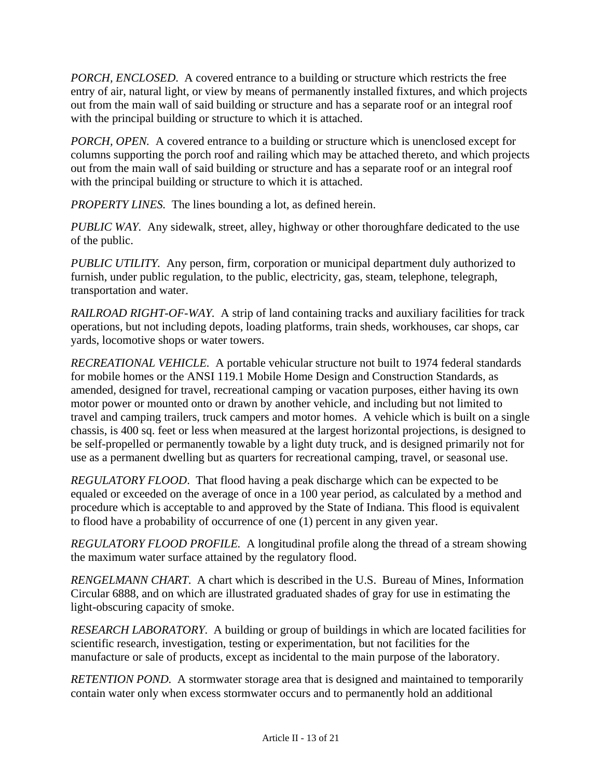*PORCH, ENCLOSED.* A covered entrance to a building or structure which restricts the free entry of air, natural light, or view by means of permanently installed fixtures, and which projects out from the main wall of said building or structure and has a separate roof or an integral roof with the principal building or structure to which it is attached.

*PORCH, OPEN.* A covered entrance to a building or structure which is unenclosed except for columns supporting the porch roof and railing which may be attached thereto, and which projects out from the main wall of said building or structure and has a separate roof or an integral roof with the principal building or structure to which it is attached.

*PROPERTY LINES.* The lines bounding a lot, as defined herein.

*PUBLIC WAY.* Any sidewalk, street, alley, highway or other thoroughfare dedicated to the use of the public.

*PUBLIC UTILITY.* Any person, firm, corporation or municipal department duly authorized to furnish, under public regulation, to the public, electricity, gas, steam, telephone, telegraph, transportation and water.

*RAILROAD RIGHT-OF-WAY.* A strip of land containing tracks and auxiliary facilities for track operations, but not including depots, loading platforms, train sheds, workhouses, car shops, car yards, locomotive shops or water towers.

*RECREATIONAL VEHICLE.* A portable vehicular structure not built to 1974 federal standards for mobile homes or the ANSI 119.1 Mobile Home Design and Construction Standards, as amended, designed for travel, recreational camping or vacation purposes, either having its own motor power or mounted onto or drawn by another vehicle, and including but not limited to travel and camping trailers, truck campers and motor homes. A vehicle which is built on a single chassis, is 400 sq. feet or less when measured at the largest horizontal projections, is designed to be self-propelled or permanently towable by a light duty truck, and is designed primarily not for use as a permanent dwelling but as quarters for recreational camping, travel, or seasonal use.

*REGULATORY FLOOD*. That flood having a peak discharge which can be expected to be equaled or exceeded on the average of once in a 100 year period, as calculated by a method and procedure which is acceptable to and approved by the State of Indiana. This flood is equivalent to flood have a probability of occurrence of one (1) percent in any given year.

*REGULATORY FLOOD PROFILE.* A longitudinal profile along the thread of a stream showing the maximum water surface attained by the regulatory flood.

*RENGELMANN CHART*. A chart which is described in the U.S. Bureau of Mines, Information Circular 6888, and on which are illustrated graduated shades of gray for use in estimating the light-obscuring capacity of smoke.

*RESEARCH LABORATORY*. A building or group of buildings in which are located facilities for scientific research, investigation, testing or experimentation, but not facilities for the manufacture or sale of products, except as incidental to the main purpose of the laboratory.

*RETENTION POND.* A stormwater storage area that is designed and maintained to temporarily contain water only when excess stormwater occurs and to permanently hold an additional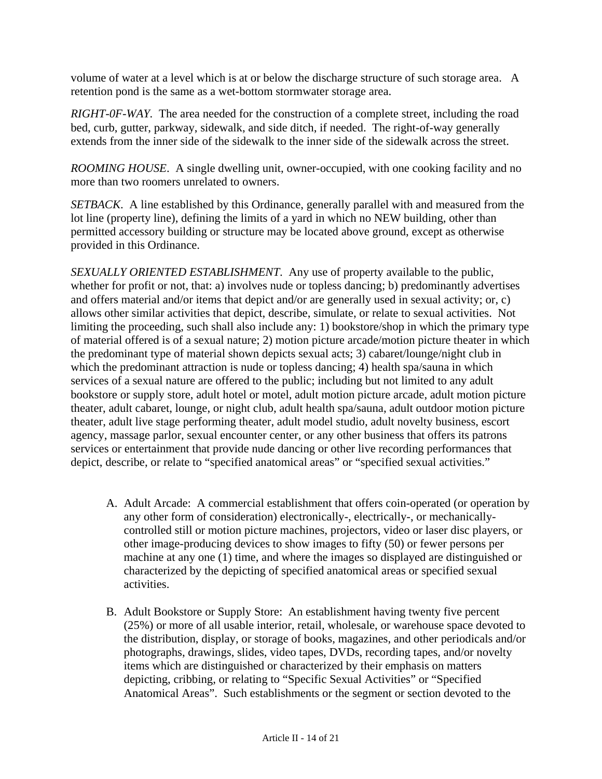volume of water at a level which is at or below the discharge structure of such storage area. A retention pond is the same as a wet-bottom stormwater storage area.

*RIGHT-0F-WAY.* The area needed for the construction of a complete street, including the road bed, curb, gutter, parkway, sidewalk, and side ditch, if needed. The right-of-way generally extends from the inner side of the sidewalk to the inner side of the sidewalk across the street.

*ROOMING HOUSE*. A single dwelling unit, owner-occupied, with one cooking facility and no more than two roomers unrelated to owners.

*SETBACK*. A line established by this Ordinance, generally parallel with and measured from the lot line (property line), defining the limits of a yard in which no NEW building, other than permitted accessory building or structure may be located above ground, except as otherwise provided in this Ordinance.

*SEXUALLY ORIENTED ESTABLISHMENT*. Any use of property available to the public, whether for profit or not, that: a) involves nude or topless dancing; b) predominantly advertises and offers material and/or items that depict and/or are generally used in sexual activity; or, c) allows other similar activities that depict, describe, simulate, or relate to sexual activities. Not limiting the proceeding, such shall also include any: 1) bookstore/shop in which the primary type of material offered is of a sexual nature; 2) motion picture arcade/motion picture theater in which the predominant type of material shown depicts sexual acts; 3) cabaret/lounge/night club in which the predominant attraction is nude or topless dancing; 4) health spa/sauna in which services of a sexual nature are offered to the public; including but not limited to any adult bookstore or supply store, adult hotel or motel, adult motion picture arcade, adult motion picture theater, adult cabaret, lounge, or night club, adult health spa/sauna, adult outdoor motion picture theater, adult live stage performing theater, adult model studio, adult novelty business, escort agency, massage parlor, sexual encounter center, or any other business that offers its patrons services or entertainment that provide nude dancing or other live recording performances that depict, describe, or relate to "specified anatomical areas" or "specified sexual activities."

- A. Adult Arcade: A commercial establishment that offers coin-operated (or operation by any other form of consideration) electronically-, electrically-, or mechanicallycontrolled still or motion picture machines, projectors, video or laser disc players, or other image-producing devices to show images to fifty (50) or fewer persons per machine at any one (1) time, and where the images so displayed are distinguished or characterized by the depicting of specified anatomical areas or specified sexual activities.
- B. Adult Bookstore or Supply Store: An establishment having twenty five percent (25%) or more of all usable interior, retail, wholesale, or warehouse space devoted to the distribution, display, or storage of books, magazines, and other periodicals and/or photographs, drawings, slides, video tapes, DVDs, recording tapes, and/or novelty items which are distinguished or characterized by their emphasis on matters depicting, cribbing, or relating to "Specific Sexual Activities" or "Specified Anatomical Areas". Such establishments or the segment or section devoted to the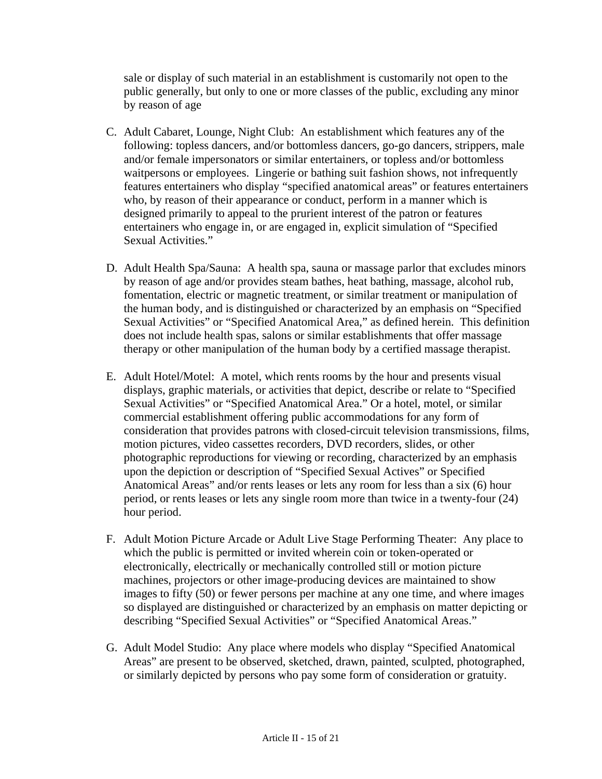sale or display of such material in an establishment is customarily not open to the public generally, but only to one or more classes of the public, excluding any minor by reason of age

- C. Adult Cabaret, Lounge, Night Club: An establishment which features any of the following: topless dancers, and/or bottomless dancers, go-go dancers, strippers, male and/or female impersonators or similar entertainers, or topless and/or bottomless waitpersons or employees. Lingerie or bathing suit fashion shows, not infrequently features entertainers who display "specified anatomical areas" or features entertainers who, by reason of their appearance or conduct, perform in a manner which is designed primarily to appeal to the prurient interest of the patron or features entertainers who engage in, or are engaged in, explicit simulation of "Specified Sexual Activities."
- D. Adult Health Spa/Sauna: A health spa, sauna or massage parlor that excludes minors by reason of age and/or provides steam bathes, heat bathing, massage, alcohol rub, fomentation, electric or magnetic treatment, or similar treatment or manipulation of the human body, and is distinguished or characterized by an emphasis on "Specified Sexual Activities" or "Specified Anatomical Area," as defined herein. This definition does not include health spas, salons or similar establishments that offer massage therapy or other manipulation of the human body by a certified massage therapist.
- E. Adult Hotel/Motel: A motel, which rents rooms by the hour and presents visual displays, graphic materials, or activities that depict, describe or relate to "Specified Sexual Activities" or "Specified Anatomical Area." Or a hotel, motel, or similar commercial establishment offering public accommodations for any form of consideration that provides patrons with closed-circuit television transmissions, films, motion pictures, video cassettes recorders, DVD recorders, slides, or other photographic reproductions for viewing or recording, characterized by an emphasis upon the depiction or description of "Specified Sexual Actives" or Specified Anatomical Areas" and/or rents leases or lets any room for less than a six (6) hour period, or rents leases or lets any single room more than twice in a twenty-four (24) hour period.
- F. Adult Motion Picture Arcade or Adult Live Stage Performing Theater: Any place to which the public is permitted or invited wherein coin or token-operated or electronically, electrically or mechanically controlled still or motion picture machines, projectors or other image-producing devices are maintained to show images to fifty (50) or fewer persons per machine at any one time, and where images so displayed are distinguished or characterized by an emphasis on matter depicting or describing "Specified Sexual Activities" or "Specified Anatomical Areas."
- G. Adult Model Studio: Any place where models who display "Specified Anatomical Areas" are present to be observed, sketched, drawn, painted, sculpted, photographed, or similarly depicted by persons who pay some form of consideration or gratuity.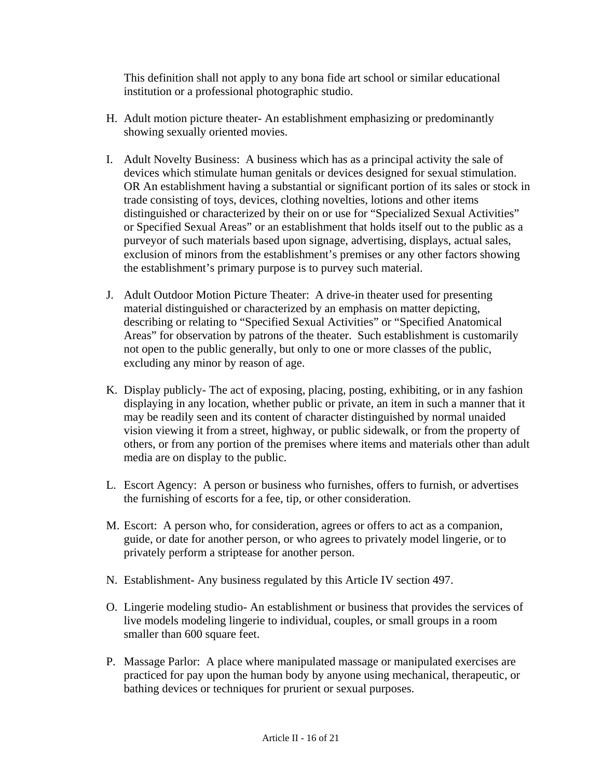This definition shall not apply to any bona fide art school or similar educational institution or a professional photographic studio.

- H. Adult motion picture theater- An establishment emphasizing or predominantly showing sexually oriented movies.
- I. Adult Novelty Business: A business which has as a principal activity the sale of devices which stimulate human genitals or devices designed for sexual stimulation. OR An establishment having a substantial or significant portion of its sales or stock in trade consisting of toys, devices, clothing novelties, lotions and other items distinguished or characterized by their on or use for "Specialized Sexual Activities" or Specified Sexual Areas" or an establishment that holds itself out to the public as a purveyor of such materials based upon signage, advertising, displays, actual sales, exclusion of minors from the establishment's premises or any other factors showing the establishment's primary purpose is to purvey such material.
- J. Adult Outdoor Motion Picture Theater: A drive-in theater used for presenting material distinguished or characterized by an emphasis on matter depicting, describing or relating to "Specified Sexual Activities" or "Specified Anatomical Areas" for observation by patrons of the theater. Such establishment is customarily not open to the public generally, but only to one or more classes of the public, excluding any minor by reason of age.
- K. Display publicly- The act of exposing, placing, posting, exhibiting, or in any fashion displaying in any location, whether public or private, an item in such a manner that it may be readily seen and its content of character distinguished by normal unaided vision viewing it from a street, highway, or public sidewalk, or from the property of others, or from any portion of the premises where items and materials other than adult media are on display to the public.
- L. Escort Agency: A person or business who furnishes, offers to furnish, or advertises the furnishing of escorts for a fee, tip, or other consideration.
- M. Escort: A person who, for consideration, agrees or offers to act as a companion, guide, or date for another person, or who agrees to privately model lingerie, or to privately perform a striptease for another person.
- N. Establishment- Any business regulated by this Article IV section 497.
- O. Lingerie modeling studio- An establishment or business that provides the services of live models modeling lingerie to individual, couples, or small groups in a room smaller than 600 square feet.
- P. Massage Parlor: A place where manipulated massage or manipulated exercises are practiced for pay upon the human body by anyone using mechanical, therapeutic, or bathing devices or techniques for prurient or sexual purposes.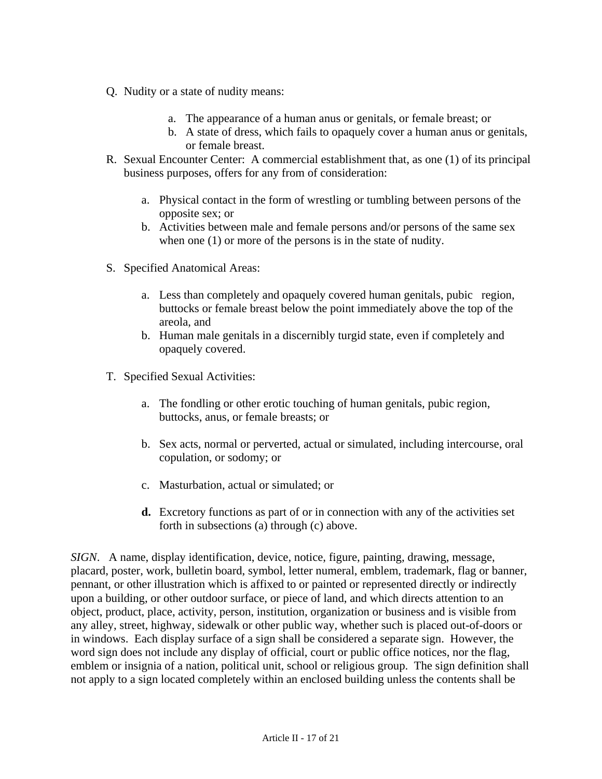- Q. Nudity or a state of nudity means:
	- a. The appearance of a human anus or genitals, or female breast; or
	- b. A state of dress, which fails to opaquely cover a human anus or genitals, or female breast.
- R. Sexual Encounter Center: A commercial establishment that, as one (1) of its principal business purposes, offers for any from of consideration:
	- a. Physical contact in the form of wrestling or tumbling between persons of the opposite sex; or
	- b. Activities between male and female persons and/or persons of the same sex when one  $(1)$  or more of the persons is in the state of nudity.
- S. Specified Anatomical Areas:
	- a. Less than completely and opaquely covered human genitals, pubic region, buttocks or female breast below the point immediately above the top of the areola, and
	- b. Human male genitals in a discernibly turgid state, even if completely and opaquely covered.
- T. Specified Sexual Activities:
	- a. The fondling or other erotic touching of human genitals, pubic region, buttocks, anus, or female breasts; or
	- b. Sex acts, normal or perverted, actual or simulated, including intercourse, oral copulation, or sodomy; or
	- c. Masturbation, actual or simulated; or
	- **d.** Excretory functions as part of or in connection with any of the activities set forth in subsections (a) through (c) above.

*SIGN*. A name, display identification, device, notice, figure, painting, drawing, message, placard, poster, work, bulletin board, symbol, letter numeral, emblem, trademark, flag or banner, pennant, or other illustration which is affixed to or painted or represented directly or indirectly upon a building, or other outdoor surface, or piece of land, and which directs attention to an object, product, place, activity, person, institution, organization or business and is visible from any alley, street, highway, sidewalk or other public way, whether such is placed out-of-doors or in windows. Each display surface of a sign shall be considered a separate sign. However, the word sign does not include any display of official, court or public office notices, nor the flag, emblem or insignia of a nation, political unit, school or religious group. The sign definition shall not apply to a sign located completely within an enclosed building unless the contents shall be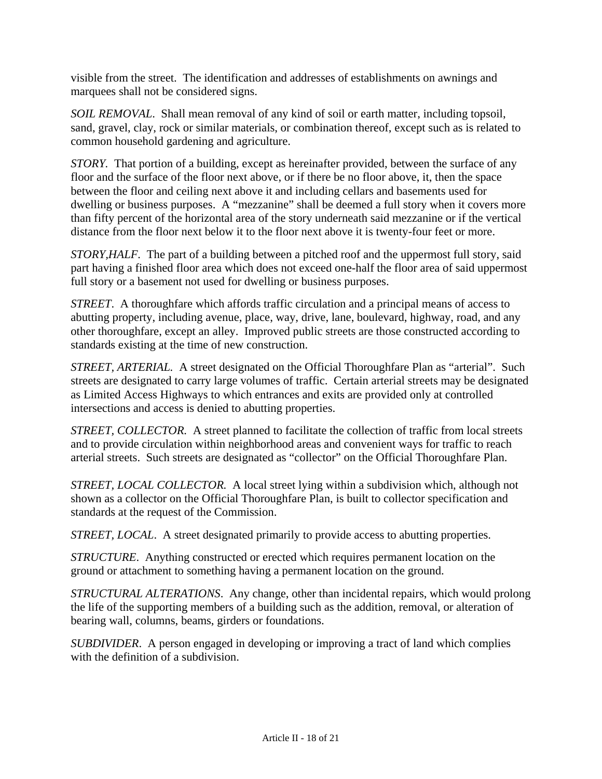visible from the street. The identification and addresses of establishments on awnings and marquees shall not be considered signs.

*SOIL REMOVAL*. Shall mean removal of any kind of soil or earth matter, including topsoil, sand, gravel, clay, rock or similar materials, or combination thereof, except such as is related to common household gardening and agriculture.

*STORY.* That portion of a building, except as hereinafter provided, between the surface of any floor and the surface of the floor next above, or if there be no floor above, it, then the space between the floor and ceiling next above it and including cellars and basements used for dwelling or business purposes. A "mezzanine" shall be deemed a full story when it covers more than fifty percent of the horizontal area of the story underneath said mezzanine or if the vertical distance from the floor next below it to the floor next above it is twenty-four feet or more.

*STORY,HALF.* The part of a building between a pitched roof and the uppermost full story, said part having a finished floor area which does not exceed one-half the floor area of said uppermost full story or a basement not used for dwelling or business purposes.

*STREET*. A thoroughfare which affords traffic circulation and a principal means of access to abutting property, including avenue, place, way, drive, lane, boulevard, highway, road, and any other thoroughfare, except an alley. Improved public streets are those constructed according to standards existing at the time of new construction.

*STREET, ARTERIAL.* A street designated on the Official Thoroughfare Plan as "arterial". Such streets are designated to carry large volumes of traffic. Certain arterial streets may be designated as Limited Access Highways to which entrances and exits are provided only at controlled intersections and access is denied to abutting properties.

*STREET, COLLECTOR.* A street planned to facilitate the collection of traffic from local streets and to provide circulation within neighborhood areas and convenient ways for traffic to reach arterial streets. Such streets are designated as "collector" on the Official Thoroughfare Plan.

*STREET, LOCAL COLLECTOR.* A local street lying within a subdivision which, although not shown as a collector on the Official Thoroughfare Plan, is built to collector specification and standards at the request of the Commission.

*STREET, LOCAL*. A street designated primarily to provide access to abutting properties.

*STRUCTURE*. Anything constructed or erected which requires permanent location on the ground or attachment to something having a permanent location on the ground.

*STRUCTURAL ALTERATIONS*. Any change, other than incidental repairs, which would prolong the life of the supporting members of a building such as the addition, removal, or alteration of bearing wall, columns, beams, girders or foundations.

*SUBDIVIDER*. A person engaged in developing or improving a tract of land which complies with the definition of a subdivision.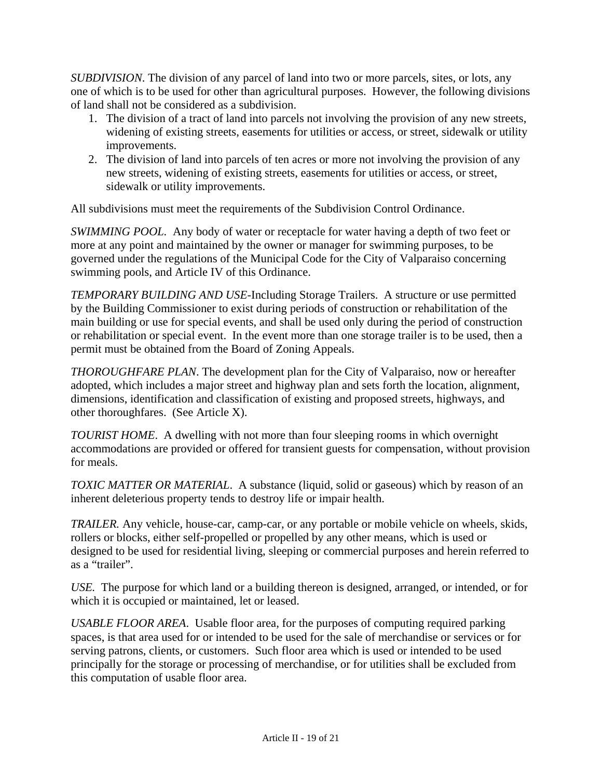*SUBDIVISION*. The division of any parcel of land into two or more parcels, sites, or lots, any one of which is to be used for other than agricultural purposes. However, the following divisions of land shall not be considered as a subdivision.

- 1. The division of a tract of land into parcels not involving the provision of any new streets, widening of existing streets, easements for utilities or access, or street, sidewalk or utility improvements.
- 2. The division of land into parcels of ten acres or more not involving the provision of any new streets, widening of existing streets, easements for utilities or access, or street, sidewalk or utility improvements.

All subdivisions must meet the requirements of the Subdivision Control Ordinance.

*SWIMMING POOL.* Any body of water or receptacle for water having a depth of two feet or more at any point and maintained by the owner or manager for swimming purposes, to be governed under the regulations of the Municipal Code for the City of Valparaiso concerning swimming pools, and Article IV of this Ordinance.

*TEMPORARY BUILDING AND USE*-Including Storage Trailers. A structure or use permitted by the Building Commissioner to exist during periods of construction or rehabilitation of the main building or use for special events, and shall be used only during the period of construction or rehabilitation or special event. In the event more than one storage trailer is to be used, then a permit must be obtained from the Board of Zoning Appeals.

*THOROUGHFARE PLAN*. The development plan for the City of Valparaiso, now or hereafter adopted, which includes a major street and highway plan and sets forth the location, alignment, dimensions, identification and classification of existing and proposed streets, highways, and other thoroughfares. (See Article X).

*TOURIST HOME*. A dwelling with not more than four sleeping rooms in which overnight accommodations are provided or offered for transient guests for compensation, without provision for meals.

*TOXIC MATTER OR MATERIAL*. A substance (liquid, solid or gaseous) which by reason of an inherent deleterious property tends to destroy life or impair health.

*TRAILER.* Any vehicle, house-car, camp-car, or any portable or mobile vehicle on wheels, skids, rollers or blocks, either self-propelled or propelled by any other means, which is used or designed to be used for residential living, sleeping or commercial purposes and herein referred to as a "trailer".

*USE.* The purpose for which land or a building thereon is designed, arranged, or intended, or for which it is occupied or maintained, let or leased.

*USABLE FLOOR AREA*. Usable floor area, for the purposes of computing required parking spaces, is that area used for or intended to be used for the sale of merchandise or services or for serving patrons, clients, or customers. Such floor area which is used or intended to be used principally for the storage or processing of merchandise, or for utilities shall be excluded from this computation of usable floor area.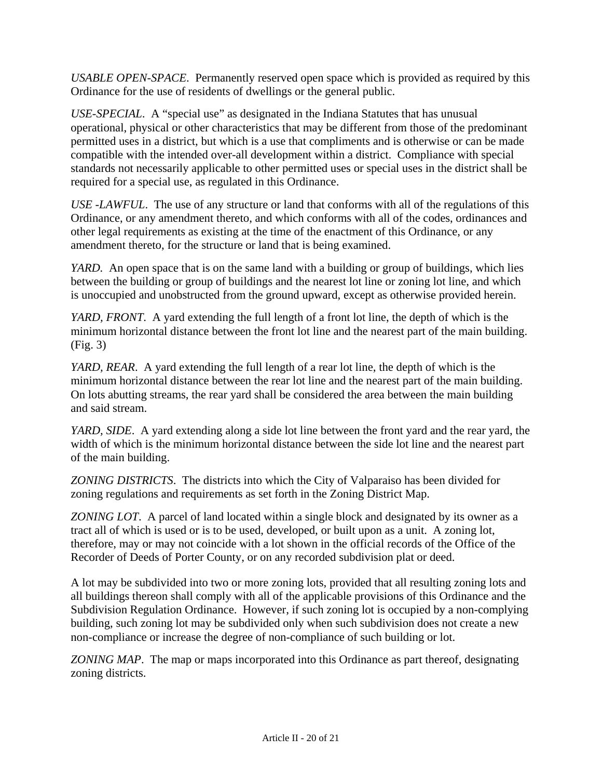*USABLE OPEN-SPACE*. Permanently reserved open space which is provided as required by this Ordinance for the use of residents of dwellings or the general public.

*USE-SPECIAL*. A "special use" as designated in the Indiana Statutes that has unusual operational, physical or other characteristics that may be different from those of the predominant permitted uses in a district, but which is a use that compliments and is otherwise or can be made compatible with the intended over-all development within a district. Compliance with special standards not necessarily applicable to other permitted uses or special uses in the district shall be required for a special use, as regulated in this Ordinance.

*USE -LAWFUL*. The use of any structure or land that conforms with all of the regulations of this Ordinance, or any amendment thereto, and which conforms with all of the codes, ordinances and other legal requirements as existing at the time of the enactment of this Ordinance, or any amendment thereto, for the structure or land that is being examined.

*YARD.* An open space that is on the same land with a building or group of buildings, which lies between the building or group of buildings and the nearest lot line or zoning lot line, and which is unoccupied and unobstructed from the ground upward, except as otherwise provided herein.

*YARD, FRONT*. A yard extending the full length of a front lot line, the depth of which is the minimum horizontal distance between the front lot line and the nearest part of the main building. (Fig. 3)

*YARD, REAR*. A yard extending the full length of a rear lot line, the depth of which is the minimum horizontal distance between the rear lot line and the nearest part of the main building. On lots abutting streams, the rear yard shall be considered the area between the main building and said stream.

*YARD, SIDE*. A yard extending along a side lot line between the front yard and the rear yard, the width of which is the minimum horizontal distance between the side lot line and the nearest part of the main building.

*ZONING DISTRICTS*. The districts into which the City of Valparaiso has been divided for zoning regulations and requirements as set forth in the Zoning District Map.

*ZONING LOT*. A parcel of land located within a single block and designated by its owner as a tract all of which is used or is to be used, developed, or built upon as a unit. A zoning lot, therefore, may or may not coincide with a lot shown in the official records of the Office of the Recorder of Deeds of Porter County, or on any recorded subdivision plat or deed.

A lot may be subdivided into two or more zoning lots, provided that all resulting zoning lots and all buildings thereon shall comply with all of the applicable provisions of this Ordinance and the Subdivision Regulation Ordinance. However, if such zoning lot is occupied by a non-complying building, such zoning lot may be subdivided only when such subdivision does not create a new non-compliance or increase the degree of non-compliance of such building or lot.

*ZONING MAP*. The map or maps incorporated into this Ordinance as part thereof, designating zoning districts.